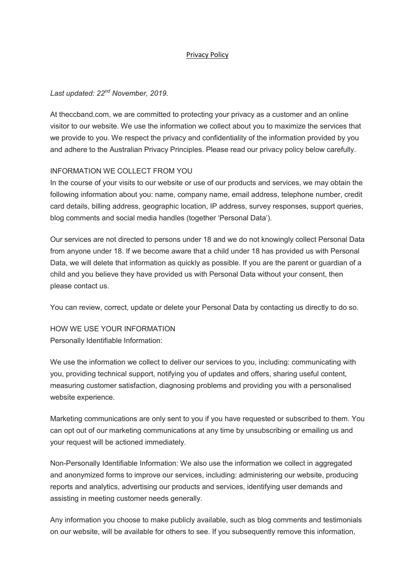#### Privacy Policy

### *Last updated: 22nd November, 2019.*

At theccband.com, we are committed to protecting your privacy as a customer and an online visitor to our website. We use the information we collect about you to maximize the services that we provide to you. We respect the privacy and confidentiality of the information provided by you and adhere to the Australian Privacy Principles. Please read our privacy policy below carefully.

### INFORMATION WE COLLECT FROM YOU

In the course of your visits to our website or use of our products and services, we may obtain the following information about you: name, company name, email address, telephone number, credit card details, billing address, geographic location, IP address, survey responses, support queries, blog comments and social media handles (together 'Personal Data').

Our services are not directed to persons under 18 and we do not knowingly collect Personal Data from anyone under 18. If we become aware that a child under 18 has provided us with Personal Data, we will delete that information as quickly as possible. If you are the parent or guardian of a child and you believe they have provided us with Personal Data without your consent, then please contact us.

You can review, correct, update or delete your Personal Data by contacting us directly to do so.

HOW WE USE YOUR INFORMATION Personally Identifiable Information:

We use the information we collect to deliver our services to you, including: communicating with you, providing technical support, notifying you of updates and offers, sharing useful content, measuring customer satisfaction, diagnosing problems and providing you with a personalised website experience.

Marketing communications are only sent to you if you have requested or subscribed to them. You can opt out of our marketing communications at any time by unsubscribing or emailing us and your request will be actioned immediately.

Non-Personally Identifiable Information: We also use the information we collect in aggregated and anonymized forms to improve our services, including: administering our website, producing reports and analytics, advertising our products and services, identifying user demands and assisting in meeting customer needs generally.

Any information you choose to make publicly available, such as blog comments and testimonials on our website, will be available for others to see. If you subsequently remove this information,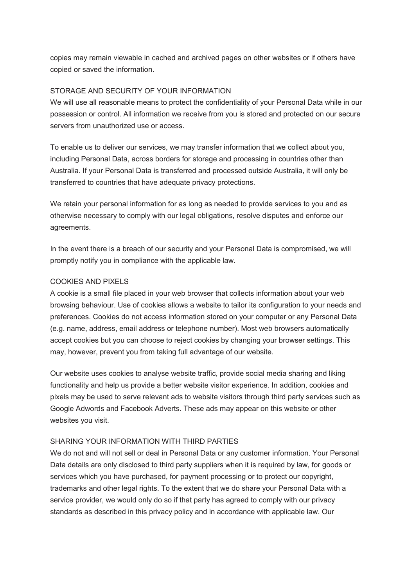copies may remain viewable in cached and archived pages on other websites or if others have copied or saved the information.

### STORAGE AND SECURITY OF YOUR INFORMATION

We will use all reasonable means to protect the confidentiality of your Personal Data while in our possession or control. All information we receive from you is stored and protected on our secure servers from unauthorized use or access.

To enable us to deliver our services, we may transfer information that we collect about you, including Personal Data, across borders for storage and processing in countries other than Australia. If your Personal Data is transferred and processed outside Australia, it will only be transferred to countries that have adequate privacy protections.

We retain your personal information for as long as needed to provide services to you and as otherwise necessary to comply with our legal obligations, resolve disputes and enforce our agreements.

In the event there is a breach of our security and your Personal Data is compromised, we will promptly notify you in compliance with the applicable law.

### COOKIES AND PIXELS

A cookie is a small file placed in your web browser that collects information about your web browsing behaviour. Use of cookies allows a website to tailor its configuration to your needs and preferences. Cookies do not access information stored on your computer or any Personal Data (e.g. name, address, email address or telephone number). Most web browsers automatically accept cookies but you can choose to reject cookies by changing your browser settings. This may, however, prevent you from taking full advantage of our website.

Our website uses cookies to analyse website traffic, provide social media sharing and liking functionality and help us provide a better website visitor experience. In addition, cookies and pixels may be used to serve relevant ads to website visitors through third party services such as Google Adwords and Facebook Adverts. These ads may appear on this website or other websites you visit.

#### SHARING YOUR INFORMATION WITH THIRD PARTIES

We do not and will not sell or deal in Personal Data or any customer information. Your Personal Data details are only disclosed to third party suppliers when it is required by law, for goods or services which you have purchased, for payment processing or to protect our copyright, trademarks and other legal rights. To the extent that we do share your Personal Data with a service provider, we would only do so if that party has agreed to comply with our privacy standards as described in this privacy policy and in accordance with applicable law. Our